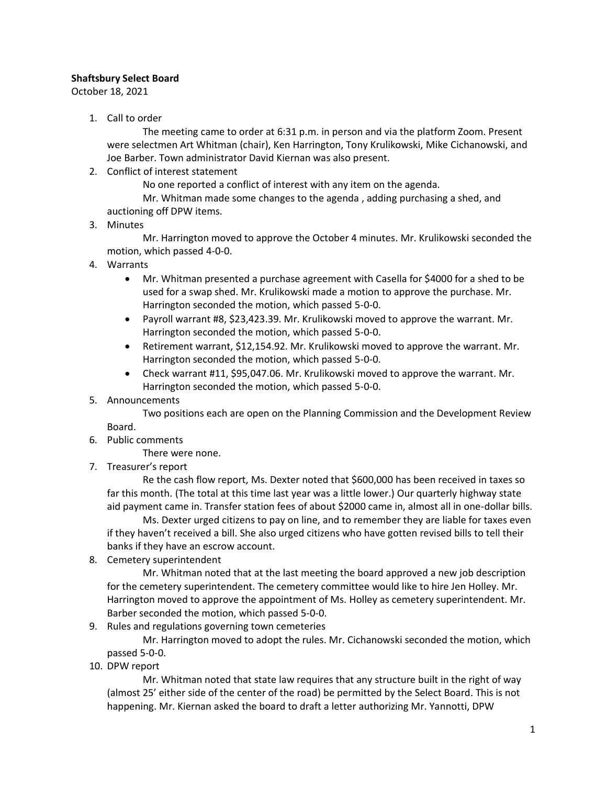## **Shaftsbury Select Board**

October 18, 2021

1. Call to order

The meeting came to order at 6:31 p.m. in person and via the platform Zoom. Present were selectmen Art Whitman (chair), Ken Harrington, Tony Krulikowski, Mike Cichanowski, and Joe Barber. Town administrator David Kiernan was also present.

2. Conflict of interest statement

No one reported a conflict of interest with any item on the agenda.

Mr. Whitman made some changes to the agenda , adding purchasing a shed, and auctioning off DPW items.

3. Minutes

Mr. Harrington moved to approve the October 4 minutes. Mr. Krulikowski seconded the motion, which passed 4-0-0.

- 4. Warrants
	- Mr. Whitman presented a purchase agreement with Casella for \$4000 for a shed to be used for a swap shed. Mr. Krulikowski made a motion to approve the purchase. Mr. Harrington seconded the motion, which passed 5-0-0.
	- Payroll warrant #8, \$23,423.39. Mr. Krulikowski moved to approve the warrant. Mr. Harrington seconded the motion, which passed 5-0-0.
	- Retirement warrant, \$12,154.92. Mr. Krulikowski moved to approve the warrant. Mr. Harrington seconded the motion, which passed 5-0-0.
	- Check warrant #11, \$95,047.06. Mr. Krulikowski moved to approve the warrant. Mr. Harrington seconded the motion, which passed 5-0-0.
- 5. Announcements

Two positions each are open on the Planning Commission and the Development Review

Board.

- 6. Public comments There were none.
- 7. Treasurer's report

Re the cash flow report, Ms. Dexter noted that \$600,000 has been received in taxes so far this month. (The total at this time last year was a little lower.) Our quarterly highway state aid payment came in. Transfer station fees of about \$2000 came in, almost all in one-dollar bills.

Ms. Dexter urged citizens to pay on line, and to remember they are liable for taxes even if they haven't received a bill. She also urged citizens who have gotten revised bills to tell their banks if they have an escrow account.

8. Cemetery superintendent

Mr. Whitman noted that at the last meeting the board approved a new job description for the cemetery superintendent. The cemetery committee would like to hire Jen Holley. Mr. Harrington moved to approve the appointment of Ms. Holley as cemetery superintendent. Mr. Barber seconded the motion, which passed 5-0-0.

9. Rules and regulations governing town cemeteries

Mr. Harrington moved to adopt the rules. Mr. Cichanowski seconded the motion, which passed 5-0-0.

10. DPW report

Mr. Whitman noted that state law requires that any structure built in the right of way (almost 25' either side of the center of the road) be permitted by the Select Board. This is not happening. Mr. Kiernan asked the board to draft a letter authorizing Mr. Yannotti, DPW